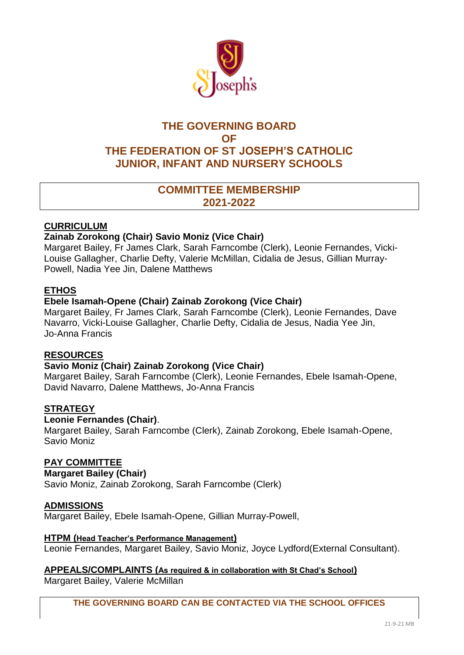

# **THE GOVERNING BOARD OF THE FEDERATION OF ST JOSEPH'S CATHOLIC JUNIOR, INFANT AND NURSERY SCHOOLS**

# **COMMITTEE MEMBERSHIP 2021-2022**

## **CURRICULUM**

## **Zainab Zorokong (Chair) Savio Moniz (Vice Chair)**

Margaret Bailey, Fr James Clark, Sarah Farncombe (Clerk), Leonie Fernandes, Vicki-Louise Gallagher, Charlie Defty, Valerie McMillan, Cidalia de Jesus, Gillian Murray-Powell, Nadia Yee Jin, Dalene Matthews

### **ETHOS**

### **Ebele Isamah-Opene (Chair) Zainab Zorokong (Vice Chair)**

Margaret Bailey, Fr James Clark, Sarah Farncombe (Clerk), Leonie Fernandes, Dave Navarro, Vicki-Louise Gallagher, Charlie Defty, Cidalia de Jesus, Nadia Yee Jin, Jo-Anna Francis

### **RESOURCES**

### **Savio Moniz (Chair) Zainab Zorokong (Vice Chair)**

Margaret Bailey, Sarah Farncombe (Clerk), Leonie Fernandes, Ebele Isamah-Opene, David Navarro, Dalene Matthews, Jo-Anna Francis

### **STRATEGY**

### **Leonie Fernandes (Chair)**.

Margaret Bailey, Sarah Farncombe (Clerk), Zainab Zorokong, Ebele Isamah-Opene, Savio Moniz

## **PAY COMMITTEE**

### **Margaret Bailey (Chair)**

Savio Moniz, Zainab Zorokong, Sarah Farncombe (Clerk)

### **ADMISSIONS**

Margaret Bailey, Ebele Isamah-Opene, Gillian Murray-Powell,

#### **HTPM (Head Teacher's Performance Management)**

Leonie Fernandes, Margaret Bailey, Savio Moniz, Joyce Lydford(External Consultant).

### **APPEALS/COMPLAINTS (As required & in collaboration with St Chad's School)**

Margaret Bailey, Valerie McMillan

**THE GOVERNING BOARD CAN BE CONTACTED VIA THE SCHOOL OFFICES**